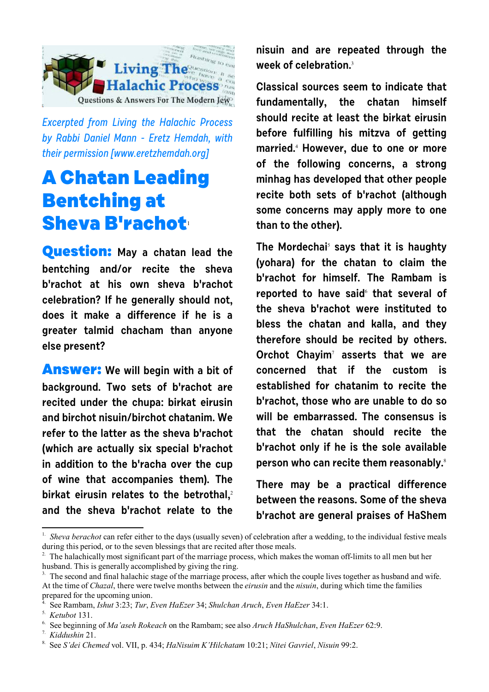

Excerpted from Living the Halachic Process by Rabbi Daniel Mann - Eretz Hemdah, with their permission [[www.eretzhemdah.org\]](http://www.eretzhemdah.org)

## **A Chatan Leading Bentching at Sheva B'rachot**<sup>1</sup>

**Question: May a chatan lead the bentching and/or recite the sheva b'rachot at his own sheva b'rachot celebration? If he generally should not, does it make a difference if he is a greater talmid chacham than anyone else present?** 

**Answer: We will begin with a bit of background. Two sets of b'rachot are recited under the chupa: birkat eirusin and birchot nisuin/birchot chatanim. We refer to the latter as the sheva b'rachot (which are actually six special b'rachot in addition to the b'racha over the cup of wine that accompanies them). The birkat eirusin relates to the betrothal,**<sup>2</sup> **and the sheva b'rachot relate to the** **nisuin and are repeated through the week of celebration.**<sup>3</sup>

**Classical sources seem to indicate that fundamentally, the chatan himself should recite at least the birkat eirusin before fulfilling his mitzva of getting married.**<sup>4</sup>  **However, due to one or more of the following concerns, a strong minhag has developed that other people recite both sets of b'rachot (although some concerns may apply more to one than to the other).**

**The Mordechai**<sup>5</sup>  **says that it is haughty (yohara) for the chatan to claim the b'rachot for himself. The Rambam is reported to have said**<sup>6</sup> **that several of the sheva b'rachot were instituted to bless the chatan and kalla, and they therefore should be recited by others. Orchot Chayim**<sup>7</sup>  **asserts that we are concerned that if the custom is established for chatanim to recite the b'rachot, those who are unable to do so will be embarrassed. The consensus is that the chatan should recite the b'rachot only if he is the sole available person who can recite them reasonably.**<sup>8</sup>

**There may be a practical difference between the reasons. Some of the sheva b'rachot are general praises of HaShem**

<sup>&</sup>lt;sup>1.</sup> Sheva berachot can refer either to the days (usually seven) of celebration after a wedding, to the individual festive meals during this period, or to the seven blessings that are recited after those meals.

The halachically most significant part of the marriage process, which makes the woman off-limits to all men but her husband. This is generally accomplished by giving the ring.

<sup>&</sup>lt;sup>3.</sup> The second and final halachic stage of the marriage process, after which the couple lives together as husband and wife. At the time of *Chazal*, there were twelve months between the *eirusin* and the *nisuin*, during which time the families prepared for the upcoming union.

<sup>4.</sup> See Rambam, *Ishut* 3:23; *Tur*, *Even HaEzer* 34; *Shulchan Aruch*, *Even HaEzer* 34:1.

<sup>5.</sup> *Ketubot* 131.

<sup>6.</sup> See beginning of *Ma'aseh Rokeach* on the Rambam; see also *Aruch HaShulchan*, *Even HaEzer* 62:9.

<sup>7.</sup> *Kiddushin* 21.

<sup>8.</sup> See *S'dei Chemed* vol. VII, p. 434; *HaNisuim K'Hilchatam* 10:21; *Nitei Gavriel*, *Nisuin* 99:2.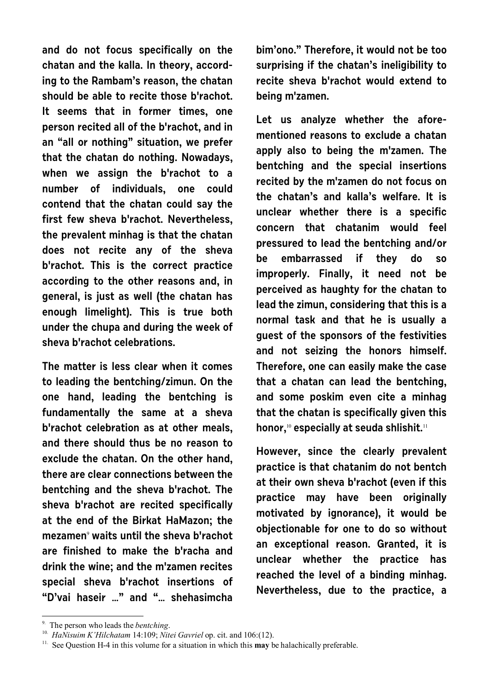**and do not focus specifically on the chatan and the kalla. In theory, according to the Rambam's reason, the chatan should be able to recite those b'rachot. It seems that in former times, one person recited all of the b'rachot, and in an "all or nothing" situation, we prefer that the chatan do nothing. Nowadays, when we assign the b'rachot to a number of individuals, one could contend that the chatan could say the first few sheva b'rachot. Nevertheless, the prevalent minhag is that the chatan does not recite any of the sheva b'rachot. This is the correct practice according to the other reasons and, in general, is just as well (the chatan has enough limelight). This is true both under the chupa and during the week of sheva b'rachot celebrations.**

**The matter is less clear when it comes to leading the bentching/zimun. On the one hand, leading the bentching is fundamentally the same at a sheva b'rachot celebration as at other meals, and there should thus be no reason to exclude the chatan. On the other hand, there are clear connections between the bentching and the sheva b'rachot. The sheva b'rachot are recited specifically at the end of the Birkat HaMazon; the mezamen**<sup>9</sup>  **waits until the sheva b'rachot are finished to make the b'racha and drink the wine; and the m'zamen recites special sheva b'rachot insertions of "D'vai haseir …" and "… shehasimcha**

**bim'ono." Therefore, it would not be too surprising if the chatan's ineligibility to recite sheva b'rachot would extend to being m'zamen.**

**Let us analyze whether the aforementioned reasons to exclude a chatan apply also to being the m'zamen. The bentching and the special insertions recited by the m'zamen do not focus on the chatan's and kalla's welfare. It is unclear whether there is a specific concern that chatanim would feel pressured to lead the bentching and/or be embarrassed if they do so improperly. Finally, it need not be perceived as haughty for the chatan to lead the zimun, considering that this is a normal task and that he is usually a guest of the sponsors of the festivities and not seizing the honors himself. Therefore, one can easily make the case that a chatan can lead the bentching, and some poskim even cite a minhag that the chatan is specifically given this honor,**10 **especially at seuda shlishit.**<sup>11</sup>

**However, since the clearly prevalent practice is that chatanim do not bentch at their own sheva b'rachot (even if this practice may have been originally motivated by ignorance), it would be objectionable for one to do so without an exceptional reason. Granted, it is unclear whether the practice has reached the level of a binding minhag. Nevertheless, due to the practice, a**

<sup>9.</sup> The person who leads the *bentching*.

<sup>&</sup>lt;sup>10.</sup> HaNisuim K'Hilchatam 14:109; Nitei Gavriel op. cit. and 106:(12).

<sup>&</sup>lt;sup>11.</sup> See Question H-4 in this volume for a situation in which this **may** be halachically preferable.